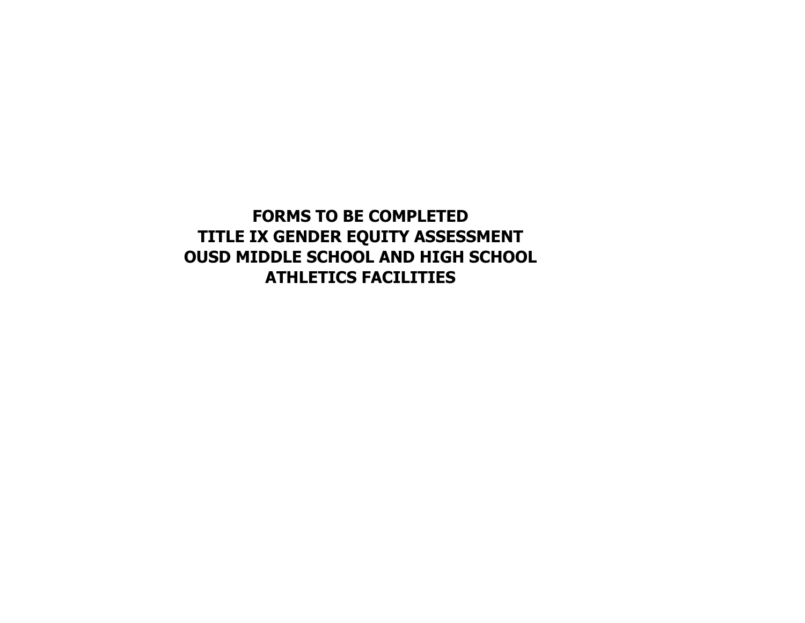**FORMS TO BE COMPLETED TITLE IX GENDER EQUITY ASSESSMENT OUSD MIDDLE SCHOOL AND HIGH SCHOOL ATHLETICS FACILITIES**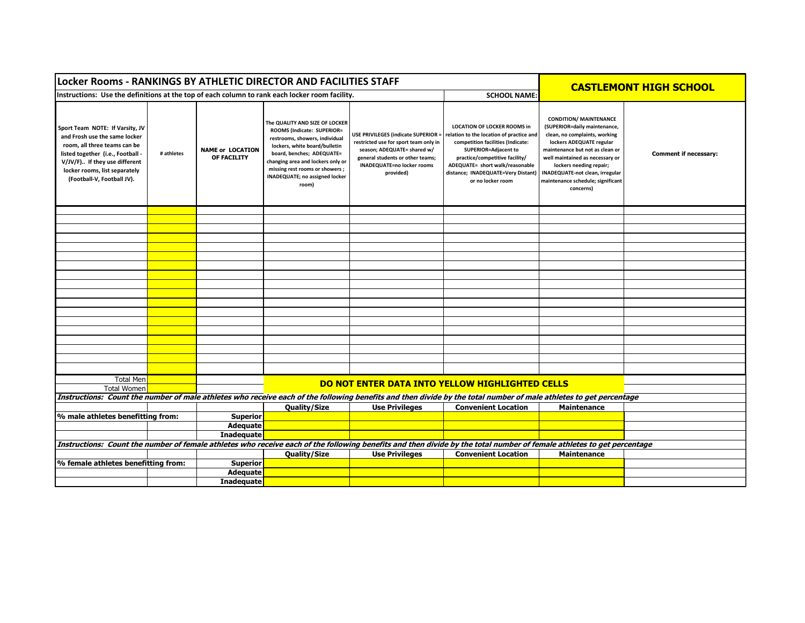| Locker Rooms - RANKINGS BY ATHLETIC DIRECTOR AND FACILITIES STAFF                                                                                                                                                                     |            |                                        |                                                                                                                                                                                                                                                                                       |                                                                                                                                                                                                   |                                                                                                                                                                                                                                                                            |                                                                                                                                                                                                                                                                                                                         | <b>CASTLEMONT HIGH SCHOOL</b> |  |  |
|---------------------------------------------------------------------------------------------------------------------------------------------------------------------------------------------------------------------------------------|------------|----------------------------------------|---------------------------------------------------------------------------------------------------------------------------------------------------------------------------------------------------------------------------------------------------------------------------------------|---------------------------------------------------------------------------------------------------------------------------------------------------------------------------------------------------|----------------------------------------------------------------------------------------------------------------------------------------------------------------------------------------------------------------------------------------------------------------------------|-------------------------------------------------------------------------------------------------------------------------------------------------------------------------------------------------------------------------------------------------------------------------------------------------------------------------|-------------------------------|--|--|
| Instructions: Use the definitions at the top of each column to rank each locker room facility.<br><b>SCHOOL NAME:</b>                                                                                                                 |            |                                        |                                                                                                                                                                                                                                                                                       |                                                                                                                                                                                                   |                                                                                                                                                                                                                                                                            |                                                                                                                                                                                                                                                                                                                         |                               |  |  |
| Sport Team NOTE: If Varsity, JV<br>and Frosh use the same locker<br>room, all three teams can be<br>listed together (i.e., Football -<br>V/JV/F) If they use different<br>locker rooms, list separately<br>(Football-V, Football JV). | # athletes | <b>NAME or LOCATION</b><br>OF FACILITY | The QUALITY AND SIZE OF LOCKER<br>ROOMS (Indicate: SUPERIOR=<br>restrooms, showers, individual<br>lockers, white board/bulletin<br>board, benches; ADEQUATE=<br>changing area and lockers only or<br>missing rest rooms or showers;<br><b>INADEQUATE; no assigned locker</b><br>room) | USE PRIVILEGES (indicate SUPERIOR =<br>restricted use for sport team only in<br>season; ADEQUATE= shared w/<br>general students or other teams;<br><b>INADEQUATE=no locker rooms</b><br>provided) | <b>LOCATION OF LOCKER ROOMS in</b><br>elation to the location of practice and<br>competition facilities (Indicate:<br>SUPERIOR=Adjacent to<br>practice/competitive facility/<br>ADEQUATE= short walk/reasonable<br>distance; INADEQUATE=Very Distant)<br>or no locker room | <b>CONDITION/ MAINTENANCE</b><br>(SUPERIOR=daily maintenance,<br>clean, no complaints, working<br>lockers ADEQUATE regular<br>maintenance but not as clean or<br>well maintained as necessary or<br>lockers needing repair;<br><b>INADEQUATE-not clean, irregular</b><br>maintenance schedule; significant<br>concerns) | <b>Comment if necessary:</b>  |  |  |
|                                                                                                                                                                                                                                       |            |                                        |                                                                                                                                                                                                                                                                                       |                                                                                                                                                                                                   |                                                                                                                                                                                                                                                                            |                                                                                                                                                                                                                                                                                                                         |                               |  |  |
|                                                                                                                                                                                                                                       |            |                                        |                                                                                                                                                                                                                                                                                       |                                                                                                                                                                                                   |                                                                                                                                                                                                                                                                            |                                                                                                                                                                                                                                                                                                                         |                               |  |  |
|                                                                                                                                                                                                                                       |            |                                        |                                                                                                                                                                                                                                                                                       |                                                                                                                                                                                                   |                                                                                                                                                                                                                                                                            |                                                                                                                                                                                                                                                                                                                         |                               |  |  |
|                                                                                                                                                                                                                                       |            |                                        |                                                                                                                                                                                                                                                                                       |                                                                                                                                                                                                   |                                                                                                                                                                                                                                                                            |                                                                                                                                                                                                                                                                                                                         |                               |  |  |
|                                                                                                                                                                                                                                       |            |                                        |                                                                                                                                                                                                                                                                                       |                                                                                                                                                                                                   |                                                                                                                                                                                                                                                                            |                                                                                                                                                                                                                                                                                                                         |                               |  |  |
|                                                                                                                                                                                                                                       |            |                                        |                                                                                                                                                                                                                                                                                       |                                                                                                                                                                                                   |                                                                                                                                                                                                                                                                            |                                                                                                                                                                                                                                                                                                                         |                               |  |  |
|                                                                                                                                                                                                                                       |            |                                        |                                                                                                                                                                                                                                                                                       |                                                                                                                                                                                                   |                                                                                                                                                                                                                                                                            |                                                                                                                                                                                                                                                                                                                         |                               |  |  |
|                                                                                                                                                                                                                                       |            |                                        |                                                                                                                                                                                                                                                                                       |                                                                                                                                                                                                   |                                                                                                                                                                                                                                                                            |                                                                                                                                                                                                                                                                                                                         |                               |  |  |
|                                                                                                                                                                                                                                       |            |                                        |                                                                                                                                                                                                                                                                                       |                                                                                                                                                                                                   |                                                                                                                                                                                                                                                                            |                                                                                                                                                                                                                                                                                                                         |                               |  |  |
|                                                                                                                                                                                                                                       |            |                                        |                                                                                                                                                                                                                                                                                       |                                                                                                                                                                                                   |                                                                                                                                                                                                                                                                            |                                                                                                                                                                                                                                                                                                                         |                               |  |  |
|                                                                                                                                                                                                                                       |            |                                        |                                                                                                                                                                                                                                                                                       |                                                                                                                                                                                                   |                                                                                                                                                                                                                                                                            |                                                                                                                                                                                                                                                                                                                         |                               |  |  |
|                                                                                                                                                                                                                                       |            |                                        |                                                                                                                                                                                                                                                                                       |                                                                                                                                                                                                   |                                                                                                                                                                                                                                                                            |                                                                                                                                                                                                                                                                                                                         |                               |  |  |
|                                                                                                                                                                                                                                       |            |                                        |                                                                                                                                                                                                                                                                                       |                                                                                                                                                                                                   |                                                                                                                                                                                                                                                                            |                                                                                                                                                                                                                                                                                                                         |                               |  |  |
|                                                                                                                                                                                                                                       |            |                                        |                                                                                                                                                                                                                                                                                       |                                                                                                                                                                                                   |                                                                                                                                                                                                                                                                            |                                                                                                                                                                                                                                                                                                                         |                               |  |  |
|                                                                                                                                                                                                                                       |            |                                        |                                                                                                                                                                                                                                                                                       |                                                                                                                                                                                                   |                                                                                                                                                                                                                                                                            |                                                                                                                                                                                                                                                                                                                         |                               |  |  |
|                                                                                                                                                                                                                                       |            |                                        |                                                                                                                                                                                                                                                                                       |                                                                                                                                                                                                   |                                                                                                                                                                                                                                                                            |                                                                                                                                                                                                                                                                                                                         |                               |  |  |
|                                                                                                                                                                                                                                       |            |                                        |                                                                                                                                                                                                                                                                                       |                                                                                                                                                                                                   |                                                                                                                                                                                                                                                                            |                                                                                                                                                                                                                                                                                                                         |                               |  |  |
| <b>Total Men</b>                                                                                                                                                                                                                      |            |                                        |                                                                                                                                                                                                                                                                                       |                                                                                                                                                                                                   | DO NOT ENTER DATA INTO YELLOW HIGHLIGHTED CELLS                                                                                                                                                                                                                            |                                                                                                                                                                                                                                                                                                                         |                               |  |  |
| <b>Total Women</b>                                                                                                                                                                                                                    |            |                                        |                                                                                                                                                                                                                                                                                       |                                                                                                                                                                                                   |                                                                                                                                                                                                                                                                            |                                                                                                                                                                                                                                                                                                                         |                               |  |  |
|                                                                                                                                                                                                                                       |            |                                        |                                                                                                                                                                                                                                                                                       |                                                                                                                                                                                                   | Instructions: Count the number of male athletes who receive each of the following benefits and then divide by the total number of male athletes to get percentage                                                                                                          |                                                                                                                                                                                                                                                                                                                         |                               |  |  |
|                                                                                                                                                                                                                                       |            | <b>Superior</b>                        | Quality/Size                                                                                                                                                                                                                                                                          | <b>Use Privileges</b>                                                                                                                                                                             | <b>Convenient Location</b>                                                                                                                                                                                                                                                 | <b>Maintenance</b>                                                                                                                                                                                                                                                                                                      |                               |  |  |
| % male athletes benefitting from:                                                                                                                                                                                                     |            |                                        |                                                                                                                                                                                                                                                                                       |                                                                                                                                                                                                   |                                                                                                                                                                                                                                                                            |                                                                                                                                                                                                                                                                                                                         |                               |  |  |
|                                                                                                                                                                                                                                       |            | <b>Adequate</b><br><b>Inadequate</b>   |                                                                                                                                                                                                                                                                                       |                                                                                                                                                                                                   |                                                                                                                                                                                                                                                                            |                                                                                                                                                                                                                                                                                                                         |                               |  |  |
| Instructions: Count the number of female athletes who receive each of the following benefits and then divide by the total number of female athletes to get percentage                                                                 |            |                                        |                                                                                                                                                                                                                                                                                       |                                                                                                                                                                                                   |                                                                                                                                                                                                                                                                            |                                                                                                                                                                                                                                                                                                                         |                               |  |  |
|                                                                                                                                                                                                                                       |            |                                        | Quality/Size                                                                                                                                                                                                                                                                          | <b>Use Privileges</b>                                                                                                                                                                             | <b>Convenient Location</b>                                                                                                                                                                                                                                                 | Maintenance                                                                                                                                                                                                                                                                                                             |                               |  |  |
|                                                                                                                                                                                                                                       |            | <b>Superior</b>                        |                                                                                                                                                                                                                                                                                       |                                                                                                                                                                                                   |                                                                                                                                                                                                                                                                            |                                                                                                                                                                                                                                                                                                                         |                               |  |  |
| % female athletes benefitting from:                                                                                                                                                                                                   |            | <b>Adequate</b>                        |                                                                                                                                                                                                                                                                                       |                                                                                                                                                                                                   |                                                                                                                                                                                                                                                                            |                                                                                                                                                                                                                                                                                                                         |                               |  |  |
| Inadequate                                                                                                                                                                                                                            |            |                                        |                                                                                                                                                                                                                                                                                       |                                                                                                                                                                                                   |                                                                                                                                                                                                                                                                            |                                                                                                                                                                                                                                                                                                                         |                               |  |  |
|                                                                                                                                                                                                                                       |            |                                        |                                                                                                                                                                                                                                                                                       |                                                                                                                                                                                                   |                                                                                                                                                                                                                                                                            |                                                                                                                                                                                                                                                                                                                         |                               |  |  |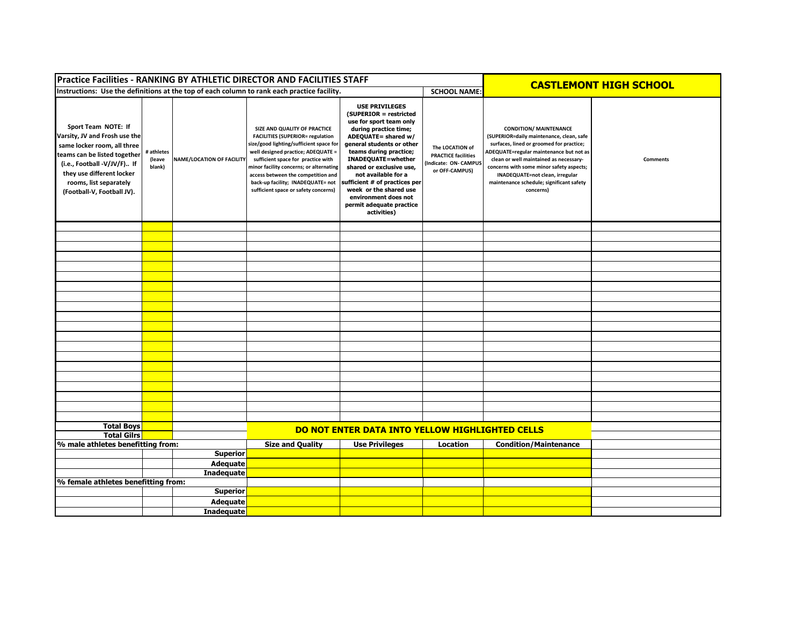| Practice Facilities - RANKING BY ATHLETIC DIRECTOR AND FACILITIES STAFF                                                                                                                                                                 |                                |                           | <b>CASTLEMONT HIGH SCHOOL</b>                                                                                                                                                                                                                                                                                                                                |                                                                                                                                                                                                                                                                                                                                                                                          |                                                                                         |                                                                                                                                                                                                                                                                                                                                                    |                 |  |
|-----------------------------------------------------------------------------------------------------------------------------------------------------------------------------------------------------------------------------------------|--------------------------------|---------------------------|--------------------------------------------------------------------------------------------------------------------------------------------------------------------------------------------------------------------------------------------------------------------------------------------------------------------------------------------------------------|------------------------------------------------------------------------------------------------------------------------------------------------------------------------------------------------------------------------------------------------------------------------------------------------------------------------------------------------------------------------------------------|-----------------------------------------------------------------------------------------|----------------------------------------------------------------------------------------------------------------------------------------------------------------------------------------------------------------------------------------------------------------------------------------------------------------------------------------------------|-----------------|--|
| Instructions: Use the definitions at the top of each column to rank each practice facility.<br><b>SCHOOL NAME:</b>                                                                                                                      |                                |                           |                                                                                                                                                                                                                                                                                                                                                              |                                                                                                                                                                                                                                                                                                                                                                                          |                                                                                         |                                                                                                                                                                                                                                                                                                                                                    |                 |  |
| Sport Team NOTE: If<br>Varsity, JV and Frosh use the<br>same locker room, all three<br>teams can be listed together<br>(i.e., Football -V/JV/F) If<br>they use different locker<br>rooms, list separately<br>(Football-V, Football JV). | # athletes<br>(leave<br>blank) | NAME/LOCATION OF FACILITY | SIZE AND QUALITY OF PRACTICE<br><b>FACILITIES (SUPERIOR= regulation</b><br>size/good lighting/sufficient space for<br>well designed practice; ADEQUATE =<br>sufficient space for practice with<br>minor facility concerns; or alternating<br>access between the competition and<br>back-up facility; INADEQUATE= not<br>sufficient space or safety concerns) | <b>USE PRIVILEGES</b><br>(SUPERIOR = restricted<br>use for sport team only<br>during practice time;<br>ADEQUATE= shared w/<br>general students or other<br>teams during practice;<br>INADEQUATE=whether<br>shared or exclusive use,<br>not available for a<br>sufficient # of practices per<br>week or the shared use<br>environment does not<br>permit adequate practice<br>activities) | The LOCATION of<br><b>PRACTICE facilities</b><br>Indicate: ON- CAMPUS<br>or OFF-CAMPUS) | <b>CONDITION/ MAINTENANCE</b><br>(SUPERIOR=daily maintenance, clean, safe<br>surfaces, lined or groomed for practice;<br>ADEQUATE=regular maintenance but not as<br>clean or well maintained as necessary-<br>concerns with some minor safety aspects;<br>INADEQUATE=not clean, irregular<br>maintenance schedule; significant safety<br>concerns) | <b>Comments</b> |  |
|                                                                                                                                                                                                                                         |                                |                           |                                                                                                                                                                                                                                                                                                                                                              |                                                                                                                                                                                                                                                                                                                                                                                          |                                                                                         |                                                                                                                                                                                                                                                                                                                                                    |                 |  |
|                                                                                                                                                                                                                                         |                                |                           |                                                                                                                                                                                                                                                                                                                                                              |                                                                                                                                                                                                                                                                                                                                                                                          |                                                                                         |                                                                                                                                                                                                                                                                                                                                                    |                 |  |
|                                                                                                                                                                                                                                         |                                |                           |                                                                                                                                                                                                                                                                                                                                                              |                                                                                                                                                                                                                                                                                                                                                                                          |                                                                                         |                                                                                                                                                                                                                                                                                                                                                    |                 |  |
|                                                                                                                                                                                                                                         |                                |                           |                                                                                                                                                                                                                                                                                                                                                              |                                                                                                                                                                                                                                                                                                                                                                                          |                                                                                         |                                                                                                                                                                                                                                                                                                                                                    |                 |  |
|                                                                                                                                                                                                                                         |                                |                           |                                                                                                                                                                                                                                                                                                                                                              |                                                                                                                                                                                                                                                                                                                                                                                          |                                                                                         |                                                                                                                                                                                                                                                                                                                                                    |                 |  |
|                                                                                                                                                                                                                                         |                                |                           |                                                                                                                                                                                                                                                                                                                                                              |                                                                                                                                                                                                                                                                                                                                                                                          |                                                                                         |                                                                                                                                                                                                                                                                                                                                                    |                 |  |
|                                                                                                                                                                                                                                         |                                |                           |                                                                                                                                                                                                                                                                                                                                                              |                                                                                                                                                                                                                                                                                                                                                                                          |                                                                                         |                                                                                                                                                                                                                                                                                                                                                    |                 |  |
|                                                                                                                                                                                                                                         |                                |                           |                                                                                                                                                                                                                                                                                                                                                              |                                                                                                                                                                                                                                                                                                                                                                                          |                                                                                         |                                                                                                                                                                                                                                                                                                                                                    |                 |  |
|                                                                                                                                                                                                                                         |                                |                           |                                                                                                                                                                                                                                                                                                                                                              |                                                                                                                                                                                                                                                                                                                                                                                          |                                                                                         |                                                                                                                                                                                                                                                                                                                                                    |                 |  |
|                                                                                                                                                                                                                                         |                                |                           |                                                                                                                                                                                                                                                                                                                                                              |                                                                                                                                                                                                                                                                                                                                                                                          |                                                                                         |                                                                                                                                                                                                                                                                                                                                                    |                 |  |
|                                                                                                                                                                                                                                         |                                |                           |                                                                                                                                                                                                                                                                                                                                                              |                                                                                                                                                                                                                                                                                                                                                                                          |                                                                                         |                                                                                                                                                                                                                                                                                                                                                    |                 |  |
|                                                                                                                                                                                                                                         |                                |                           |                                                                                                                                                                                                                                                                                                                                                              |                                                                                                                                                                                                                                                                                                                                                                                          |                                                                                         |                                                                                                                                                                                                                                                                                                                                                    |                 |  |
|                                                                                                                                                                                                                                         |                                |                           |                                                                                                                                                                                                                                                                                                                                                              |                                                                                                                                                                                                                                                                                                                                                                                          |                                                                                         |                                                                                                                                                                                                                                                                                                                                                    |                 |  |
|                                                                                                                                                                                                                                         |                                |                           |                                                                                                                                                                                                                                                                                                                                                              |                                                                                                                                                                                                                                                                                                                                                                                          |                                                                                         |                                                                                                                                                                                                                                                                                                                                                    |                 |  |
|                                                                                                                                                                                                                                         |                                |                           |                                                                                                                                                                                                                                                                                                                                                              |                                                                                                                                                                                                                                                                                                                                                                                          |                                                                                         |                                                                                                                                                                                                                                                                                                                                                    |                 |  |
|                                                                                                                                                                                                                                         |                                |                           |                                                                                                                                                                                                                                                                                                                                                              |                                                                                                                                                                                                                                                                                                                                                                                          |                                                                                         |                                                                                                                                                                                                                                                                                                                                                    |                 |  |
|                                                                                                                                                                                                                                         |                                |                           |                                                                                                                                                                                                                                                                                                                                                              |                                                                                                                                                                                                                                                                                                                                                                                          |                                                                                         |                                                                                                                                                                                                                                                                                                                                                    |                 |  |
|                                                                                                                                                                                                                                         |                                |                           |                                                                                                                                                                                                                                                                                                                                                              |                                                                                                                                                                                                                                                                                                                                                                                          |                                                                                         |                                                                                                                                                                                                                                                                                                                                                    |                 |  |
|                                                                                                                                                                                                                                         |                                |                           |                                                                                                                                                                                                                                                                                                                                                              |                                                                                                                                                                                                                                                                                                                                                                                          |                                                                                         |                                                                                                                                                                                                                                                                                                                                                    |                 |  |
| <b>Total Boys</b>                                                                                                                                                                                                                       |                                |                           |                                                                                                                                                                                                                                                                                                                                                              | DO NOT ENTER DATA INTO YELLOW HIGHLIGHTED CELLS                                                                                                                                                                                                                                                                                                                                          |                                                                                         |                                                                                                                                                                                                                                                                                                                                                    |                 |  |
| <b>Total Gilrs</b>                                                                                                                                                                                                                      |                                |                           | <b>Size and Quality</b>                                                                                                                                                                                                                                                                                                                                      | <b>Use Privileges</b>                                                                                                                                                                                                                                                                                                                                                                    | Location                                                                                | <b>Condition/Maintenance</b>                                                                                                                                                                                                                                                                                                                       |                 |  |
| % male athletes benefitting from:<br><b>Superior</b>                                                                                                                                                                                    |                                |                           |                                                                                                                                                                                                                                                                                                                                                              |                                                                                                                                                                                                                                                                                                                                                                                          |                                                                                         |                                                                                                                                                                                                                                                                                                                                                    |                 |  |
|                                                                                                                                                                                                                                         |                                | <b>Adequate</b>           |                                                                                                                                                                                                                                                                                                                                                              |                                                                                                                                                                                                                                                                                                                                                                                          |                                                                                         |                                                                                                                                                                                                                                                                                                                                                    |                 |  |
|                                                                                                                                                                                                                                         |                                | <b>Inadequate</b>         |                                                                                                                                                                                                                                                                                                                                                              |                                                                                                                                                                                                                                                                                                                                                                                          |                                                                                         |                                                                                                                                                                                                                                                                                                                                                    |                 |  |
| % female athletes benefitting from:                                                                                                                                                                                                     |                                |                           |                                                                                                                                                                                                                                                                                                                                                              |                                                                                                                                                                                                                                                                                                                                                                                          |                                                                                         |                                                                                                                                                                                                                                                                                                                                                    |                 |  |
|                                                                                                                                                                                                                                         |                                | <b>Superior</b>           |                                                                                                                                                                                                                                                                                                                                                              |                                                                                                                                                                                                                                                                                                                                                                                          |                                                                                         |                                                                                                                                                                                                                                                                                                                                                    |                 |  |
|                                                                                                                                                                                                                                         |                                | <b>Adequate</b>           |                                                                                                                                                                                                                                                                                                                                                              |                                                                                                                                                                                                                                                                                                                                                                                          |                                                                                         |                                                                                                                                                                                                                                                                                                                                                    |                 |  |
|                                                                                                                                                                                                                                         |                                | <b>Inadequate</b>         |                                                                                                                                                                                                                                                                                                                                                              |                                                                                                                                                                                                                                                                                                                                                                                          |                                                                                         |                                                                                                                                                                                                                                                                                                                                                    |                 |  |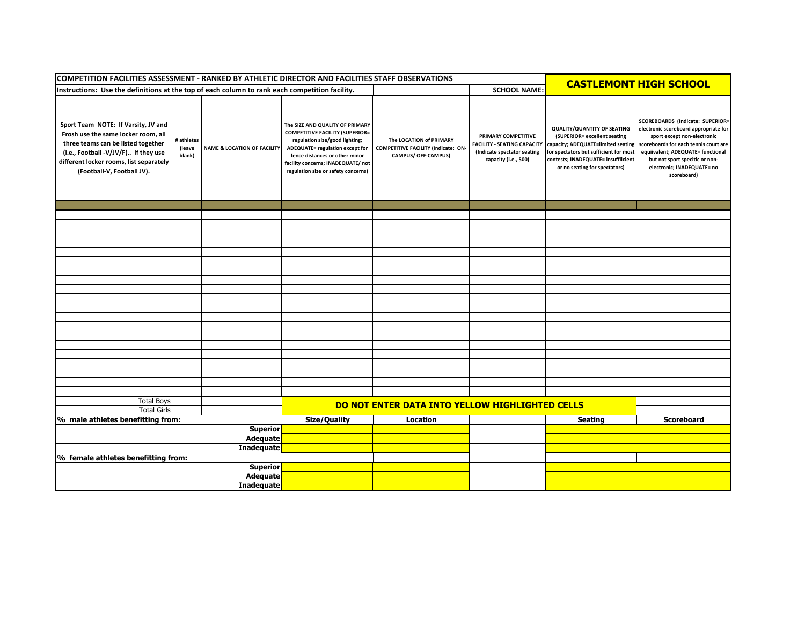| COMPETITION FACILITIES ASSESSMENT - RANKED BY ATHLETIC DIRECTOR AND FACILITIES STAFF OBSERVATIONS                                                                                                                                 |                                                                                                                       |                                        |                                                                                                                                                                                                                                                               |                                                                                       |                                                                                                                  | <b>CASTLEMONT HIGH SCHOOL</b>                                                                                                                                                                                              |                                                                                                                                                                                                                                                                       |
|-----------------------------------------------------------------------------------------------------------------------------------------------------------------------------------------------------------------------------------|-----------------------------------------------------------------------------------------------------------------------|----------------------------------------|---------------------------------------------------------------------------------------------------------------------------------------------------------------------------------------------------------------------------------------------------------------|---------------------------------------------------------------------------------------|------------------------------------------------------------------------------------------------------------------|----------------------------------------------------------------------------------------------------------------------------------------------------------------------------------------------------------------------------|-----------------------------------------------------------------------------------------------------------------------------------------------------------------------------------------------------------------------------------------------------------------------|
|                                                                                                                                                                                                                                   | <b>SCHOOL NAME:</b><br>Instructions: Use the definitions at the top of each column to rank each competition facility. |                                        |                                                                                                                                                                                                                                                               |                                                                                       |                                                                                                                  |                                                                                                                                                                                                                            |                                                                                                                                                                                                                                                                       |
| Sport Team NOTE: If Varsity, JV and<br>Frosh use the same locker room, all<br>three teams can be listed together<br>(i.e., Football -V/JV/F) If they use<br>different locker rooms, list separately<br>(Football-V, Football JV). | # athletes<br>(leave<br>blank)                                                                                        | <b>NAME &amp; LOCATION OF FACILITY</b> | The SIZE AND QUALITY OF PRIMARY<br><b>COMPETITIVE FACILITY (SUPERIOR=</b><br>regulation size/good lighting;<br>ADEQUATE= regulation except for<br>fence distances or other minor<br>facility concerns; INADEQUATE/ not<br>regulation size or safety concerns) | The LOCATION of PRIMARY<br>COMPETITIVE FACILITY (Indicate: ON-<br>CAMPUS/ OFF-CAMPUS) | PRIMARY COMPETITIVE<br><b>FACILITY - SEATING CAPACITY</b><br>(Indicate spectator seating<br>capacity (i.e., 500) | <b>QUALITY/QUANTITY OF SEATING</b><br>(SUPERIOR= excellent seating<br>capacity; ADEQUATE=limited seating<br>for spectators but sufficient for most<br>contests; INADEQUATE= insuffiicient<br>or no seating for spectators) | SCOREBOARDS (Indicate: SUPERIOR=<br>electronic scoreboard appropriate for<br>sport except non-electronic<br>scoreboards for each tennis court are<br>equiivalent; ADEQUATE= functional<br>but not sport specitic or non-<br>electronic; INADEQUATE= no<br>scoreboard) |
|                                                                                                                                                                                                                                   |                                                                                                                       |                                        |                                                                                                                                                                                                                                                               |                                                                                       |                                                                                                                  |                                                                                                                                                                                                                            |                                                                                                                                                                                                                                                                       |
|                                                                                                                                                                                                                                   |                                                                                                                       |                                        |                                                                                                                                                                                                                                                               |                                                                                       |                                                                                                                  |                                                                                                                                                                                                                            |                                                                                                                                                                                                                                                                       |
|                                                                                                                                                                                                                                   |                                                                                                                       |                                        |                                                                                                                                                                                                                                                               |                                                                                       |                                                                                                                  |                                                                                                                                                                                                                            |                                                                                                                                                                                                                                                                       |
|                                                                                                                                                                                                                                   |                                                                                                                       |                                        |                                                                                                                                                                                                                                                               |                                                                                       |                                                                                                                  |                                                                                                                                                                                                                            |                                                                                                                                                                                                                                                                       |
|                                                                                                                                                                                                                                   |                                                                                                                       |                                        |                                                                                                                                                                                                                                                               |                                                                                       |                                                                                                                  |                                                                                                                                                                                                                            |                                                                                                                                                                                                                                                                       |
|                                                                                                                                                                                                                                   |                                                                                                                       |                                        |                                                                                                                                                                                                                                                               |                                                                                       |                                                                                                                  |                                                                                                                                                                                                                            |                                                                                                                                                                                                                                                                       |
|                                                                                                                                                                                                                                   |                                                                                                                       |                                        |                                                                                                                                                                                                                                                               |                                                                                       |                                                                                                                  |                                                                                                                                                                                                                            |                                                                                                                                                                                                                                                                       |
|                                                                                                                                                                                                                                   |                                                                                                                       |                                        |                                                                                                                                                                                                                                                               |                                                                                       |                                                                                                                  |                                                                                                                                                                                                                            |                                                                                                                                                                                                                                                                       |
|                                                                                                                                                                                                                                   |                                                                                                                       |                                        |                                                                                                                                                                                                                                                               |                                                                                       |                                                                                                                  |                                                                                                                                                                                                                            |                                                                                                                                                                                                                                                                       |
|                                                                                                                                                                                                                                   |                                                                                                                       |                                        |                                                                                                                                                                                                                                                               |                                                                                       |                                                                                                                  |                                                                                                                                                                                                                            |                                                                                                                                                                                                                                                                       |
|                                                                                                                                                                                                                                   |                                                                                                                       |                                        |                                                                                                                                                                                                                                                               |                                                                                       |                                                                                                                  |                                                                                                                                                                                                                            |                                                                                                                                                                                                                                                                       |
|                                                                                                                                                                                                                                   |                                                                                                                       |                                        |                                                                                                                                                                                                                                                               |                                                                                       |                                                                                                                  |                                                                                                                                                                                                                            |                                                                                                                                                                                                                                                                       |
|                                                                                                                                                                                                                                   |                                                                                                                       |                                        |                                                                                                                                                                                                                                                               |                                                                                       |                                                                                                                  |                                                                                                                                                                                                                            |                                                                                                                                                                                                                                                                       |
|                                                                                                                                                                                                                                   |                                                                                                                       |                                        |                                                                                                                                                                                                                                                               |                                                                                       |                                                                                                                  |                                                                                                                                                                                                                            |                                                                                                                                                                                                                                                                       |
|                                                                                                                                                                                                                                   |                                                                                                                       |                                        |                                                                                                                                                                                                                                                               |                                                                                       |                                                                                                                  |                                                                                                                                                                                                                            |                                                                                                                                                                                                                                                                       |
|                                                                                                                                                                                                                                   |                                                                                                                       |                                        |                                                                                                                                                                                                                                                               |                                                                                       |                                                                                                                  |                                                                                                                                                                                                                            |                                                                                                                                                                                                                                                                       |
|                                                                                                                                                                                                                                   |                                                                                                                       |                                        |                                                                                                                                                                                                                                                               |                                                                                       |                                                                                                                  |                                                                                                                                                                                                                            |                                                                                                                                                                                                                                                                       |
|                                                                                                                                                                                                                                   |                                                                                                                       |                                        |                                                                                                                                                                                                                                                               |                                                                                       |                                                                                                                  |                                                                                                                                                                                                                            |                                                                                                                                                                                                                                                                       |
|                                                                                                                                                                                                                                   |                                                                                                                       |                                        |                                                                                                                                                                                                                                                               |                                                                                       |                                                                                                                  |                                                                                                                                                                                                                            |                                                                                                                                                                                                                                                                       |
| <b>Total Boys</b>                                                                                                                                                                                                                 |                                                                                                                       |                                        |                                                                                                                                                                                                                                                               |                                                                                       |                                                                                                                  |                                                                                                                                                                                                                            |                                                                                                                                                                                                                                                                       |
| <b>Total Girls</b>                                                                                                                                                                                                                |                                                                                                                       |                                        | DO NOT ENTER DATA INTO YELLOW HIGHLIGHTED CELLS                                                                                                                                                                                                               |                                                                                       |                                                                                                                  |                                                                                                                                                                                                                            |                                                                                                                                                                                                                                                                       |
| % male athletes benefitting from:                                                                                                                                                                                                 |                                                                                                                       |                                        | Size/Quality                                                                                                                                                                                                                                                  | Location                                                                              |                                                                                                                  | <b>Seating</b>                                                                                                                                                                                                             | <b>Scoreboard</b>                                                                                                                                                                                                                                                     |
|                                                                                                                                                                                                                                   |                                                                                                                       | <b>Superior</b>                        |                                                                                                                                                                                                                                                               |                                                                                       |                                                                                                                  |                                                                                                                                                                                                                            |                                                                                                                                                                                                                                                                       |
|                                                                                                                                                                                                                                   |                                                                                                                       | Adequate                               |                                                                                                                                                                                                                                                               |                                                                                       |                                                                                                                  |                                                                                                                                                                                                                            |                                                                                                                                                                                                                                                                       |
|                                                                                                                                                                                                                                   |                                                                                                                       | <b>Inadequate</b>                      |                                                                                                                                                                                                                                                               |                                                                                       |                                                                                                                  |                                                                                                                                                                                                                            |                                                                                                                                                                                                                                                                       |
| % female athletes benefitting from:                                                                                                                                                                                               |                                                                                                                       |                                        |                                                                                                                                                                                                                                                               |                                                                                       |                                                                                                                  |                                                                                                                                                                                                                            |                                                                                                                                                                                                                                                                       |
|                                                                                                                                                                                                                                   |                                                                                                                       | <b>Superior</b>                        |                                                                                                                                                                                                                                                               |                                                                                       |                                                                                                                  |                                                                                                                                                                                                                            |                                                                                                                                                                                                                                                                       |
|                                                                                                                                                                                                                                   |                                                                                                                       | Adequate                               |                                                                                                                                                                                                                                                               |                                                                                       |                                                                                                                  |                                                                                                                                                                                                                            |                                                                                                                                                                                                                                                                       |
|                                                                                                                                                                                                                                   |                                                                                                                       | <b>Inadequate</b>                      |                                                                                                                                                                                                                                                               |                                                                                       |                                                                                                                  |                                                                                                                                                                                                                            |                                                                                                                                                                                                                                                                       |